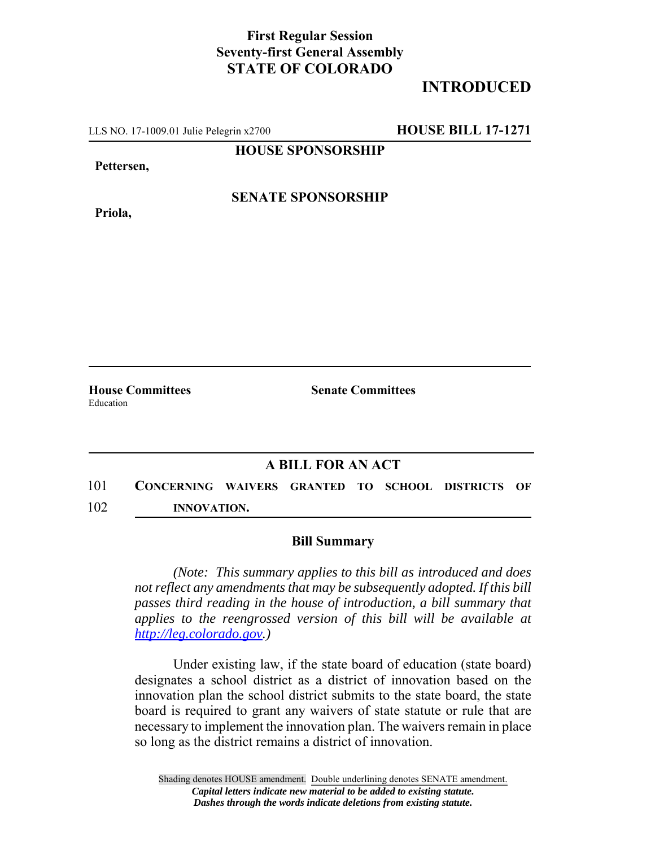## **First Regular Session Seventy-first General Assembly STATE OF COLORADO**

## **INTRODUCED**

LLS NO. 17-1009.01 Julie Pelegrin x2700 **HOUSE BILL 17-1271**

**HOUSE SPONSORSHIP**

**Pettersen,**

**Priola,**

**SENATE SPONSORSHIP**

Education

**House Committees Senate Committees** 

## **A BILL FOR AN ACT**

101 **CONCERNING WAIVERS GRANTED TO SCHOOL DISTRICTS OF** 102 **INNOVATION.**

## **Bill Summary**

*(Note: This summary applies to this bill as introduced and does not reflect any amendments that may be subsequently adopted. If this bill passes third reading in the house of introduction, a bill summary that applies to the reengrossed version of this bill will be available at http://leg.colorado.gov.)*

Under existing law, if the state board of education (state board) designates a school district as a district of innovation based on the innovation plan the school district submits to the state board, the state board is required to grant any waivers of state statute or rule that are necessary to implement the innovation plan. The waivers remain in place so long as the district remains a district of innovation.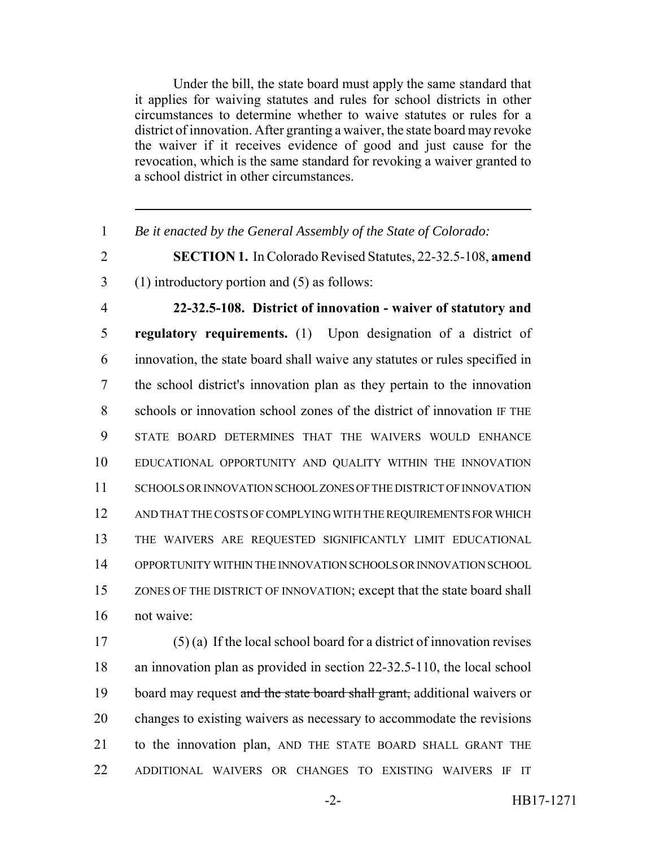Under the bill, the state board must apply the same standard that it applies for waiving statutes and rules for school districts in other circumstances to determine whether to waive statutes or rules for a district of innovation. After granting a waiver, the state board may revoke the waiver if it receives evidence of good and just cause for the revocation, which is the same standard for revoking a waiver granted to a school district in other circumstances.

*Be it enacted by the General Assembly of the State of Colorado:*

- **SECTION 1.** In Colorado Revised Statutes, 22-32.5-108, **amend**
- (1) introductory portion and (5) as follows:
- **22-32.5-108. District of innovation waiver of statutory and regulatory requirements.** (1) Upon designation of a district of innovation, the state board shall waive any statutes or rules specified in the school district's innovation plan as they pertain to the innovation schools or innovation school zones of the district of innovation IF THE STATE BOARD DETERMINES THAT THE WAIVERS WOULD ENHANCE EDUCATIONAL OPPORTUNITY AND QUALITY WITHIN THE INNOVATION SCHOOLS OR INNOVATION SCHOOL ZONES OF THE DISTRICT OF INNOVATION AND THAT THE COSTS OF COMPLYING WITH THE REQUIREMENTS FOR WHICH THE WAIVERS ARE REQUESTED SIGNIFICANTLY LIMIT EDUCATIONAL OPPORTUNITY WITHIN THE INNOVATION SCHOOLS OR INNOVATION SCHOOL ZONES OF THE DISTRICT OF INNOVATION; except that the state board shall not waive:

 (5) (a) If the local school board for a district of innovation revises an innovation plan as provided in section 22-32.5-110, the local school 19 board may request and the state board shall grant, additional waivers or changes to existing waivers as necessary to accommodate the revisions to the innovation plan, AND THE STATE BOARD SHALL GRANT THE ADDITIONAL WAIVERS OR CHANGES TO EXISTING WAIVERS IF IT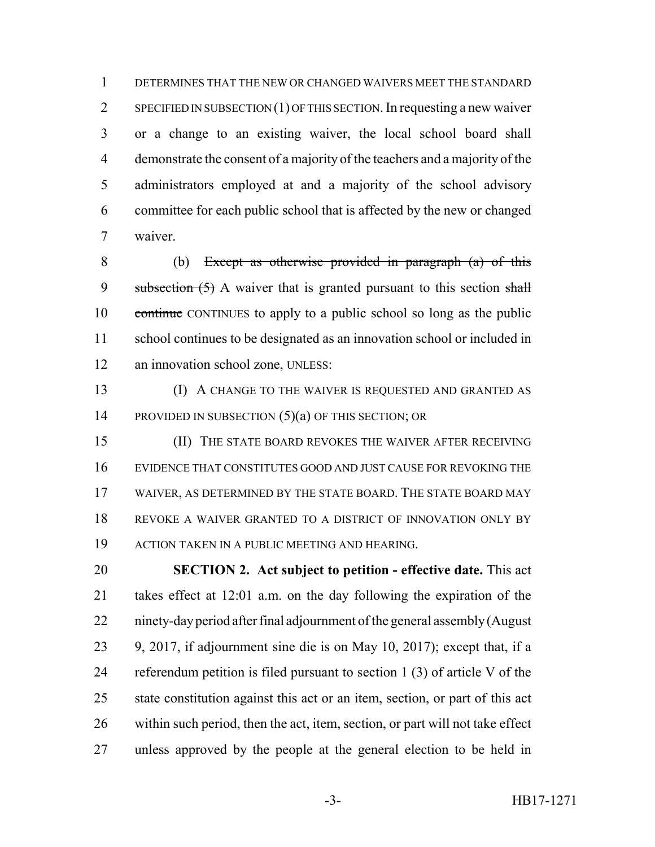DETERMINES THAT THE NEW OR CHANGED WAIVERS MEET THE STANDARD SPECIFIED IN SUBSECTION (1) OF THIS SECTION. In requesting a new waiver or a change to an existing waiver, the local school board shall demonstrate the consent of a majority of the teachers and a majority of the administrators employed at and a majority of the school advisory committee for each public school that is affected by the new or changed waiver.

 (b) Except as otherwise provided in paragraph (a) of this 9 subsection  $(5)$  A waiver that is granted pursuant to this section shall continue CONTINUES to apply to a public school so long as the public school continues to be designated as an innovation school or included in 12 an innovation school zone, UNLESS:

 (I) A CHANGE TO THE WAIVER IS REQUESTED AND GRANTED AS 14 PROVIDED IN SUBSECTION (5)(a) OF THIS SECTION; OR

 (II) THE STATE BOARD REVOKES THE WAIVER AFTER RECEIVING EVIDENCE THAT CONSTITUTES GOOD AND JUST CAUSE FOR REVOKING THE WAIVER, AS DETERMINED BY THE STATE BOARD. THE STATE BOARD MAY REVOKE A WAIVER GRANTED TO A DISTRICT OF INNOVATION ONLY BY ACTION TAKEN IN A PUBLIC MEETING AND HEARING.

 **SECTION 2. Act subject to petition - effective date.** This act takes effect at 12:01 a.m. on the day following the expiration of the ninety-day period after final adjournment of the general assembly (August 9, 2017, if adjournment sine die is on May 10, 2017); except that, if a referendum petition is filed pursuant to section 1 (3) of article V of the state constitution against this act or an item, section, or part of this act within such period, then the act, item, section, or part will not take effect unless approved by the people at the general election to be held in